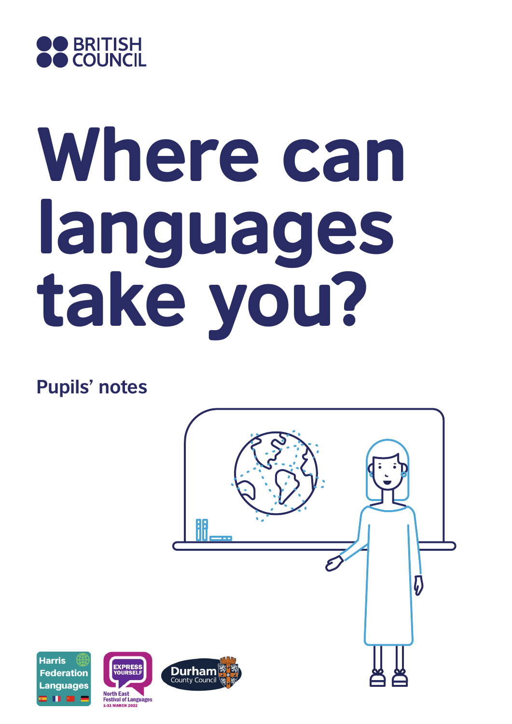

# Where can languages take you?

**Pupils' notes**







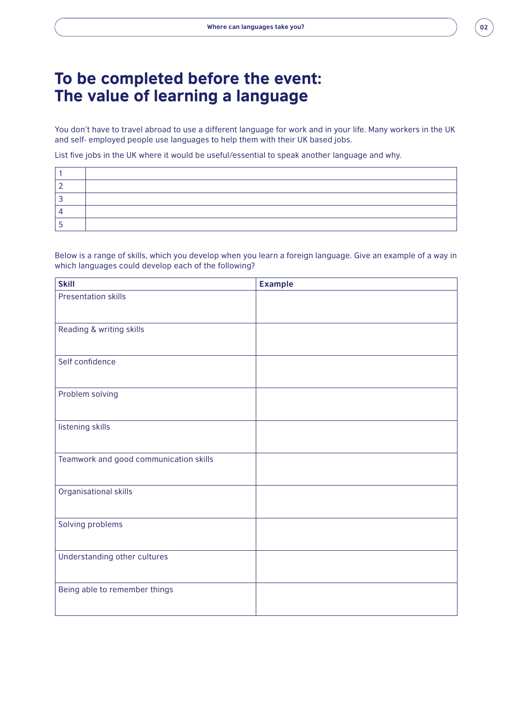#### To be completed before the event: The value of learning a language

You don't have to travel abroad to use a different language for work and in your life. Many workers in the UK and self- employed people use languages to help them with their UK based jobs.

List five jobs in the UK where it would be useful/essential to speak another language and why.

Below is a range of skills, which you develop when you learn a foreign language. Give an example of a way in which languages could develop each of the following?

| <b>Skill</b>                           | <b>Example</b> |
|----------------------------------------|----------------|
| <b>Presentation skills</b>             |                |
| Reading & writing skills               |                |
| Self confidence                        |                |
| Problem solving                        |                |
| listening skills                       |                |
| Teamwork and good communication skills |                |
| Organisational skills                  |                |
| Solving problems                       |                |
| Understanding other cultures           |                |
| Being able to remember things          |                |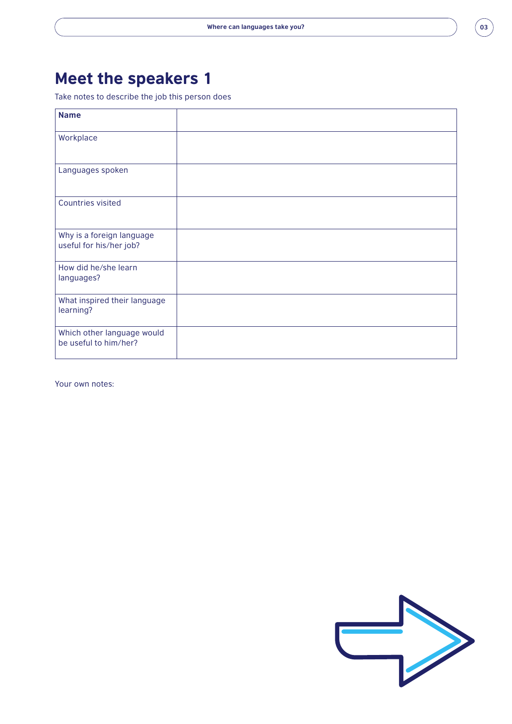# Meet the speakers 1

Take notes to describe the job this person does

| <b>Name</b>                                          |  |
|------------------------------------------------------|--|
| Workplace                                            |  |
| Languages spoken                                     |  |
| <b>Countries visited</b>                             |  |
| Why is a foreign language<br>useful for his/her job? |  |
| How did he/she learn<br>languages?                   |  |
| What inspired their language<br>learning?            |  |
| Which other language would<br>be useful to him/her?  |  |

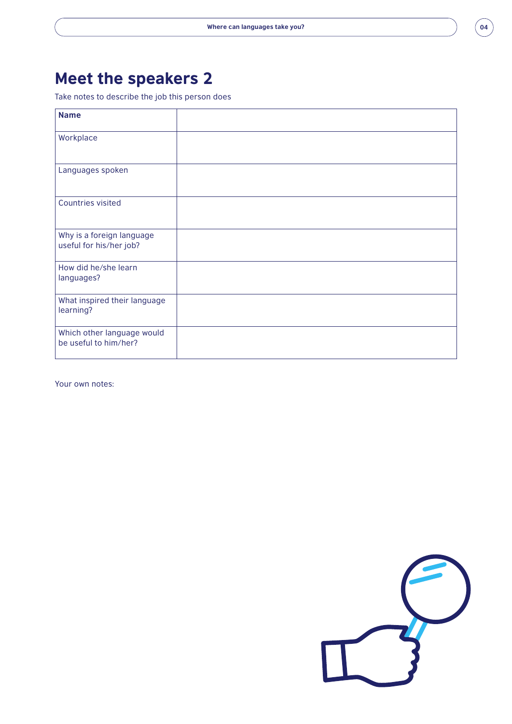# Meet the speakers 2

Take notes to describe the job this person does

| <b>Name</b>                                          |  |
|------------------------------------------------------|--|
| Workplace                                            |  |
| Languages spoken                                     |  |
| <b>Countries visited</b>                             |  |
| Why is a foreign language<br>useful for his/her job? |  |
| How did he/she learn<br>languages?                   |  |
| What inspired their language<br>learning?            |  |
| Which other language would<br>be useful to him/her?  |  |

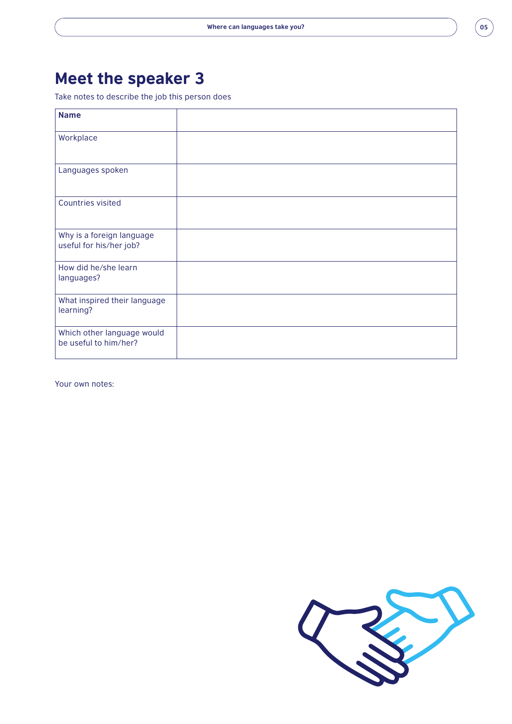# Meet the speaker 3

Take notes to describe the job this person does

| <b>Name</b>                                          |  |
|------------------------------------------------------|--|
| Workplace                                            |  |
| Languages spoken                                     |  |
| <b>Countries visited</b>                             |  |
| Why is a foreign language<br>useful for his/her job? |  |
| How did he/she learn<br>languages?                   |  |
| What inspired their language<br>learning?            |  |
| Which other language would<br>be useful to him/her?  |  |

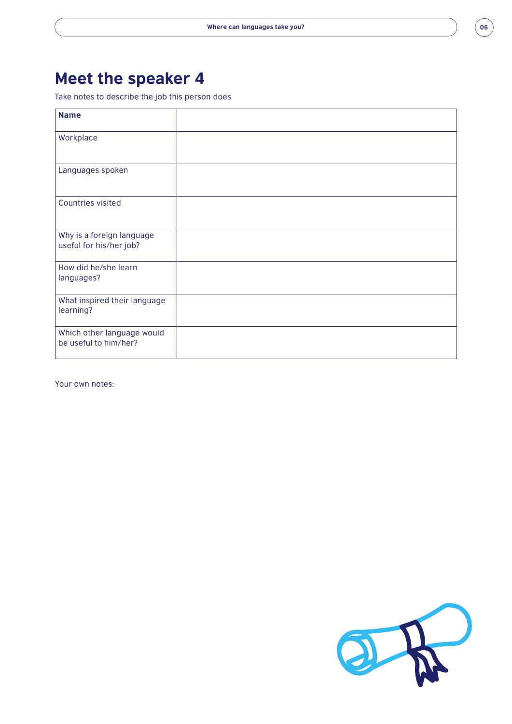# Meet the speaker 4

Take notes to describe the job this person does

| <b>Name</b>                                          |  |
|------------------------------------------------------|--|
| Workplace                                            |  |
| Languages spoken                                     |  |
| <b>Countries visited</b>                             |  |
| Why is a foreign language<br>useful for his/her job? |  |
| How did he/she learn<br>languages?                   |  |
| What inspired their language<br>learning?            |  |
| Which other language would<br>be useful to him/her?  |  |

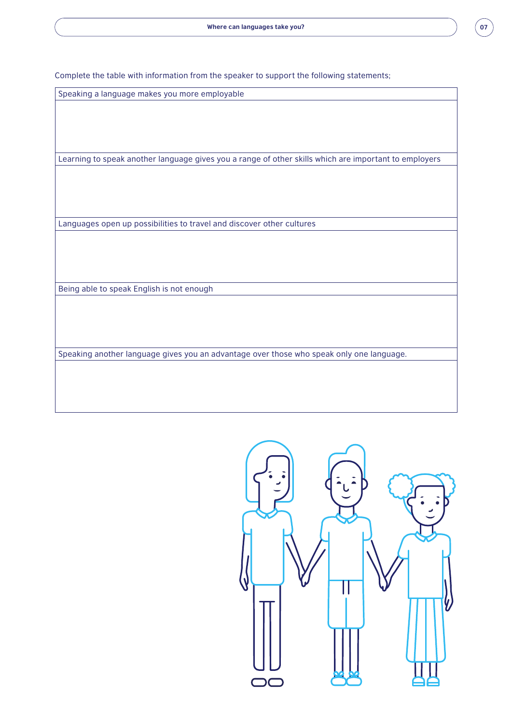

Complete the table with information from the speaker to support the following statements;

Speaking a language makes you more employable

Learning to speak another language gives you a range of other skills which are important to employers

Languages open up possibilities to travel and discover other cultures

Being able to speak English is not enough

Speaking another language gives you an advantage over those who speak only one language.

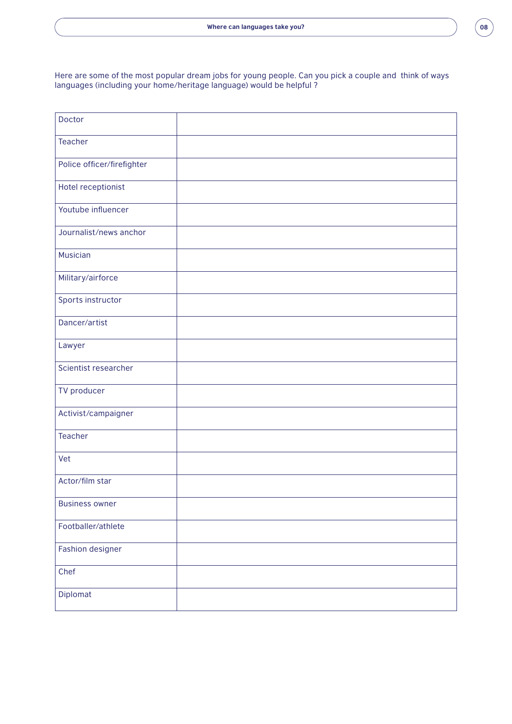Here are some of the most popular dream jobs for young people. Can you pick a couple and think of ways languages (including your home/heritage language) would be helpful ?

| Doctor                     |  |
|----------------------------|--|
| <b>Teacher</b>             |  |
| Police officer/firefighter |  |
| Hotel receptionist         |  |
| Youtube influencer         |  |
| Journalist/news anchor     |  |
| Musician                   |  |
| Military/airforce          |  |
| Sports instructor          |  |
| Dancer/artist              |  |
| Lawyer                     |  |
| Scientist researcher       |  |
| TV producer                |  |
| Activist/campaigner        |  |
| <b>Teacher</b>             |  |
| Vet                        |  |
| Actor/film star            |  |
| <b>Business owner</b>      |  |
| Footballer/athlete         |  |
| Fashion designer           |  |
| Chef                       |  |
| Diplomat                   |  |